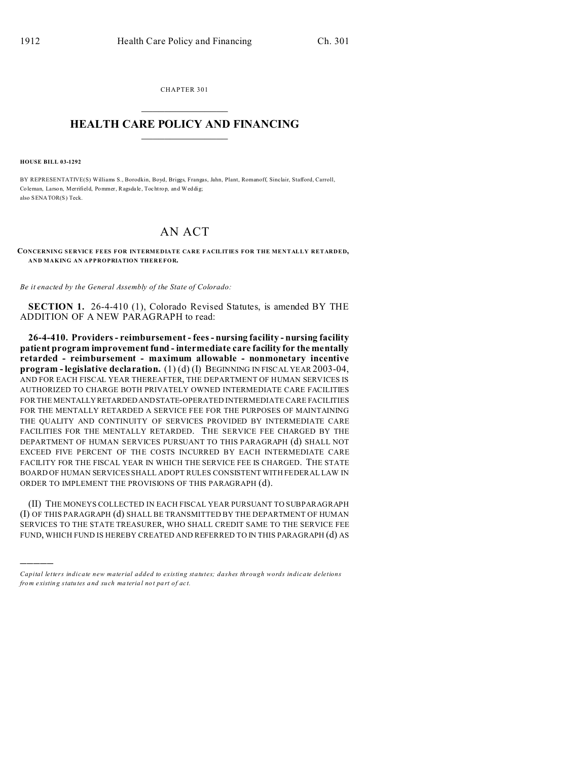CHAPTER 301  $\overline{\phantom{a}}$  , where  $\overline{\phantom{a}}$ 

## **HEALTH CARE POLICY AND FINANCING**  $\_$   $\_$   $\_$   $\_$   $\_$   $\_$   $\_$   $\_$

**HOUSE BILL 03-1292**

)))))

BY REPRESENTATIVE(S) Williams S., Borodkin, Boyd, Briggs, Frangas, Jahn, Plant, Romanoff, Sinclair, Stafford, Carroll, Co leman, Larso n, Merrifield, Pommer, Ragsda le, Tochtrop, and Weddig; also SENATOR(S) Teck.

## AN ACT

**CONCERNING SERVICE FEES FOR INTERMEDIATE CARE FACILITIES FOR THE MENTALLY RETARDED, AND MAKING AN APPROPRIATION THEREFOR.**

*Be it enacted by the General Assembly of the State of Colorado:*

**SECTION 1.** 26-4-410 (1), Colorado Revised Statutes, is amended BY THE ADDITION OF A NEW PARAGRAPH to read:

**26-4-410. Providers - reimbursement - fees - nursing facility - nursing facility patient program improvement fund - intermediate care facility for the mentally retarded - reimbursement - maximum allowable - nonmonetary incentive program - legislative declaration.** (1) (d) (I) BEGINNING IN FISCAL YEAR 2003-04, AND FOR EACH FISCAL YEAR THEREAFTER, THE DEPARTMENT OF HUMAN SERVICES IS AUTHORIZED TO CHARGE BOTH PRIVATELY OWNED INTERMEDIATE CARE FACILITIES FOR THE MENTALLYRETARDEDANDSTATE-OPERATED INTERMEDIATE CARE FACILITIES FOR THE MENTALLY RETARDED A SERVICE FEE FOR THE PURPOSES OF MAINTAINING THE QUALITY AND CONTINUITY OF SERVICES PROVIDED BY INTERMEDIATE CARE FACILITIES FOR THE MENTALLY RETARDED. THE SERVICE FEE CHARGED BY THE DEPARTMENT OF HUMAN SERVICES PURSUANT TO THIS PARAGRAPH (d) SHALL NOT EXCEED FIVE PERCENT OF THE COSTS INCURRED BY EACH INTERMEDIATE CARE FACILITY FOR THE FISCAL YEAR IN WHICH THE SERVICE FEE IS CHARGED. THE STATE BOARD OF HUMAN SERVICES SHALL ADOPT RULES CONSISTENT WITH FEDERAL LAW IN ORDER TO IMPLEMENT THE PROVISIONS OF THIS PARAGRAPH (d).

(II) THE MONEYS COLLECTED IN EACH FISCAL YEAR PURSUANT TO SUBPARAGRAPH (I) OF THIS PARAGRAPH (d) SHALL BE TRANSMITTED BY THE DEPARTMENT OF HUMAN SERVICES TO THE STATE TREASURER, WHO SHALL CREDIT SAME TO THE SERVICE FEE FUND, WHICH FUND IS HEREBY CREATED AND REFERRED TO IN THIS PARAGRAPH (d) AS

*Capital letters indicate new material added to existing statutes; dashes through words indicate deletions from e xistin g statu tes a nd such ma teria l no t pa rt of ac t.*